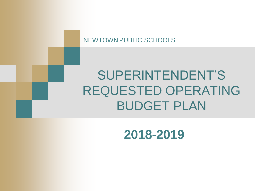NEWTOWN PUBLIC SCHOOLS

## SUPERINTENDENT'S REQUESTED OPERATING BUDGET PLAN

### **2018-2019**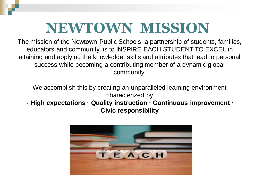### **NEWTOWN MISSION**

The mission of the Newtown Public Schools, a partnership of students, families, educators and community, is to INSPIRE EACH STUDENT TO EXCEL in attaining and applying the knowledge, skills and attributes that lead to personal success while becoming a contributing member of a dynamic global community.

We accomplish this by creating an unparalleled learning environment characterized by

#### · **High expectations · Quality instruction · Continuous improvement · Civic responsibility**

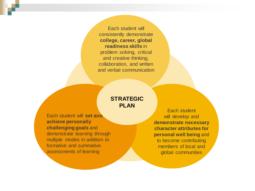Each student will consistently demonstrate **college, career, global readiness skills** in problem solving, critical and creative thinking, collaboration, and written and verbal communication

#### **STRATEGIC PLAN**

Each student will **set and achieve personally challenging goals** and demonstrate learning through multiple modes in addition to formative and summative assessments of learning

Each student will develop and **demonstrate necessary character attributes for personal well being** and to become contributing members of local and global communities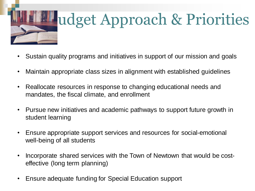

# udget Approach & Priorities

- Sustain quality programs and initiatives in support of our mission and goals
- Maintain appropriate class sizes in alignment with established guidelines
- Reallocate resources in response to changing educational needs and mandates, the fiscal climate, and enrollment
- Pursue new initiatives and academic pathways to support future growth in student learning
- Ensure appropriate support services and resources for social-emotional well-being of all students
- Incorporate shared services with the Town of Newtown that would be costeffective (long term planning)
- Ensure adequate funding for Special Education support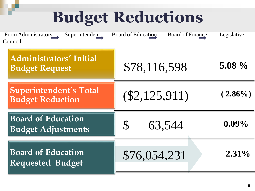# **Budget Reductions**

| Superintendent<br>From Administrators<br>Council         | <b>Board of Education</b><br><b>Board of Finance</b> | Legislative |
|----------------------------------------------------------|------------------------------------------------------|-------------|
| <b>Administrators' Initial</b><br><b>Budget Request</b>  | \$78,116,598                                         | $5.08\%$    |
| <b>Superintendent's Total</b><br><b>Budget Reduction</b> | $(\$2,125,911)$                                      | $(2.86\%)$  |
| <b>Board of Education</b><br><b>Budget Adjustments</b>   | S<br>63,544                                          | $0.09\%$    |
| <b>Board of Education</b><br><b>Requested Budget</b>     | \$76,054,231                                         | $2.31\%$    |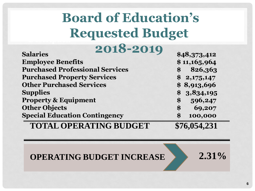### **.**<br>المتحدة المتحدثات **Board of Education's Requested Budget**

| 2018-2019                              |                              |
|----------------------------------------|------------------------------|
| <b>Salaries</b>                        | \$48,373,412                 |
| <b>Employee Benefits</b>               | \$11,165,964                 |
| <b>Purchased Professional Services</b> | 826,363<br>\$                |
| <b>Purchased Property Services</b>     | \$2,175,147                  |
| <b>Other Purchased Services</b>        | \$8,913,696                  |
| <b>Supplies</b>                        | \$3,834,195                  |
| <b>Property &amp; Equipment</b>        | 596,247<br>\$                |
| <b>Other Objects</b>                   | 69,207<br>\$                 |
| <b>Special Education Contingency</b>   | 100,000<br>$\boldsymbol{\$}$ |
| <b>TOTAL OPERATING BUDGET</b>          | \$76,054,231                 |

**OPERATING BUDGET INCREASE 2.31%**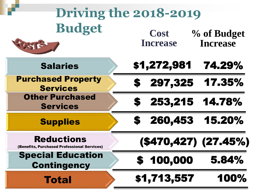| Driving the 2018-2019                                            |                                                                  |  |
|------------------------------------------------------------------|------------------------------------------------------------------|--|
| <b>Budget</b>                                                    | <b>Cost</b><br>% of Budget<br><b>Increase</b><br><b>Increase</b> |  |
| <b>Salaries</b>                                                  | \$1,272,981<br>74.29%                                            |  |
| <b>Purchased Property</b><br><b>Services</b>                     | 17.35%<br>297,325<br>S                                           |  |
| <b>Other Purchased</b><br><b>Services</b>                        | 253,215<br>14.78%<br>S                                           |  |
| <b>Supplies</b>                                                  | 260,453<br>15.20%<br>S                                           |  |
| <b>Reductions</b><br>(Benefits, Purchased Professional Services) | (\$470,427) (27.45%)                                             |  |
| <b>Special Education</b><br><b>Contingency</b>                   | 5.84%<br>100,000<br>S                                            |  |
| <b>Total</b>                                                     | \$1,713,557<br>100%                                              |  |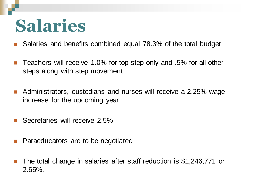# **Salaries**

- Salaries and benefits combined equal 78.3% of the total budget
- Teachers will receive 1.0% for top step only and .5% for all other steps along with step movement
- Administrators, custodians and nurses will receive a 2.25% wage increase for the upcoming year
- Secretaries will receive 2.5%
- Paraeducators are to be negotiated
- The total change in salaries after staff reduction is \$1,246,771 or 2.65%.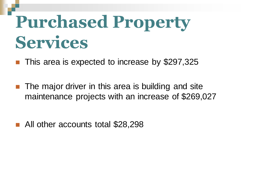# **Purchased Property Services**

This area is expected to increase by \$297,325

- The major driver in this area is building and site maintenance projects with an increase of \$269,027
- All other accounts total \$28,298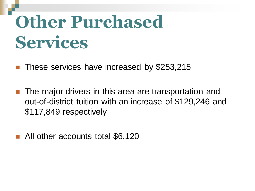# **Other Purchased Services**

These services have increased by \$253,215

- The major drivers in this area are transportation and out-of-district tuition with an increase of \$129,246 and \$117,849 respectively
- All other accounts total \$6,120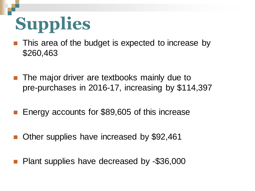# **Supplies**

- This area of the budget is expected to increase by \$260,463
- The major driver are textbooks mainly due to pre-purchases in 2016-17, increasing by \$114,397
- **E** Energy accounts for \$89,605 of this increase
- Other supplies have increased by \$92,461
- Plant supplies have decreased by -\$36,000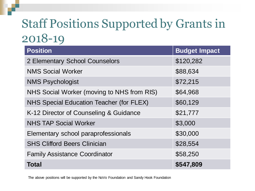### Staff Positions Supported by Grants in 2018-19

| <b>Position</b>                            | <b>Budget Impact</b> |
|--------------------------------------------|----------------------|
| 2 Elementary School Counselors             | \$120,282            |
| <b>NMS Social Worker</b>                   | \$88,634             |
| <b>NMS Psychologist</b>                    | \$72,215             |
| NHS Social Worker (moving to NHS from RIS) | \$64,968             |
| NHS Special Education Teacher (for FLEX)   | \$60,129             |
| K-12 Director of Counseling & Guidance     | \$21,777             |
| <b>NHS TAP Social Worker</b>               | \$3,000              |
| Elementary school paraprofessionals        | \$30,000             |
| <b>SHS Clifford Beers Clinician</b>        | \$28,554             |
| <b>Family Assistance Coordinator</b>       | \$58,250             |
| <b>Total</b>                               | \$547,809            |

The above positions will be supported by the NoVo Foundation and Sandy Hook Foundation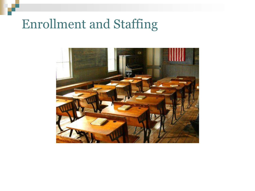### Enrollment and Staffing

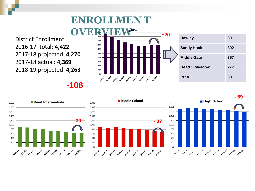### **ENROLLMEN T**

District Enrollment 2016-17 total: **4,422** 2017-18 projected: **4,270** 2017-18 actual: **4,369** 2018-19 projected: **4,263**



**-106**

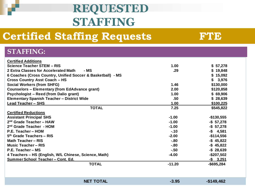### **REQUESTED STAFFING**

### **Certified Staffing Requests FTE**

| <b>STAFFING:</b>                                            |                   |              |
|-------------------------------------------------------------|-------------------|--------------|
| <b>Certified Additions</b>                                  |                   |              |
| Science Teacher STEM - RIS                                  | 1.00 <sub>1</sub> | \$57,278     |
| 2 Extra Classes for Accelerated Math<br>- MS                | .29               | \$19,848     |
| 6 Coaches (Cross Country, Unified Soccer & Basketball) - MS |                   | \$15,092     |
| <b>Cross Country Asst Coach - HS</b>                        |                   | \$<br>3,976  |
| <b>Social Workers (from SHFG)</b>                           | 1.46              | \$130,000    |
| <b>Counselors - Elementary (from EdAdvance grant)</b>       | 2.00              | \$120,858    |
| <b>Psychologist - Reed (from Dalio grant)</b>               | 1.00              | \$69,906     |
| <b>Elementary Spanish Teacher - District Wide</b>           | .50               | \$28,639     |
| <b>Lead Teacher - SHS</b>                                   | 1.00              | \$100,225    |
| <b>TOTAL</b>                                                | 7.25              | \$545,822    |
| <b>Certified Reductions</b>                                 |                   |              |
| <b>Assistant Principal SHS</b>                              | $-1.00$           | $-$130,555$  |
| $2nd$ Grade Teacher - HAW                                   | $-1.00$           | $-$57,278$   |
| 2 <sup>nd</sup> Grade Teacher - HOM                         | $-1.00$           | $-$57,278$   |
| P.E. Teacher - HOM                                          | $-.10$            | $-$ \$ 4,581 |
| $5th$ Grade Teachers – RIS                                  | $-2.00$           | $-$114,556$  |
| Math Teacher - RIS                                          | $-80$             | $-$ \$45,822 |
| <b>Music Teacher - RIS</b>                                  | $-80$             | $-$ \$45,822 |
| P.E. Teacher – MS                                           | $-.50$            | $-$28,639$   |
| 4 Teachers – HS (English, W/L Chinese, Science, Math)       | $-4.00$           | $-$207,502$  |
| Summer School Teacher - Cont. Ed.                           |                   | $-$ \$ 3,251 |
| <b>TOTAL</b>                                                | $-11.20$          | -\$695,284   |
|                                                             |                   |              |

| <b>NET TOTAL</b> | $-3.95$ | $-$149,462$ |
|------------------|---------|-------------|
|------------------|---------|-------------|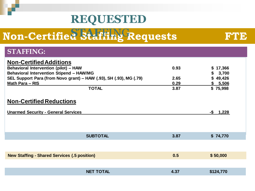### **REQUESTED**

#### **Non-Certified Staffing Requests FTE STAF**FING

| <b>STAFFING:</b>                                                   |                  |      |              |
|--------------------------------------------------------------------|------------------|------|--------------|
|                                                                    |                  |      |              |
| <b>Non-Certified Additions</b>                                     |                  |      |              |
| <b>Behavioral Intervention (pilot) - HAW</b>                       |                  | 0.93 | \$17,366     |
| <b>Behavioral Intervention Stipend - HAW/MG</b>                    |                  |      | 3,700        |
| SEL Support Para (from Novo grant) - HAW (.93), SH (.93), MG (.79) |                  | 2.65 | \$49,426     |
| Math Para - RIS                                                    |                  | 0.29 | \$ 5,506     |
|                                                                    | <b>TOTAL</b>     | 3.87 | \$75,998     |
|                                                                    |                  |      |              |
| <b>Non-Certified Reductions</b>                                    |                  |      |              |
| <b>Unarmed Security - General Services</b>                         |                  |      | $-$ \$ 1,228 |
|                                                                    |                  |      |              |
|                                                                    |                  |      |              |
|                                                                    |                  |      |              |
|                                                                    | <b>SUBTOTAL</b>  | 3.87 | \$74,770     |
|                                                                    |                  |      |              |
|                                                                    |                  |      |              |
| <b>New Staffing - Shared Services (.5 position)</b>                |                  | 0.5  | \$50,000     |
|                                                                    |                  |      |              |
|                                                                    |                  |      |              |
|                                                                    | <b>NET TOTAL</b> | 4.37 | \$124,770    |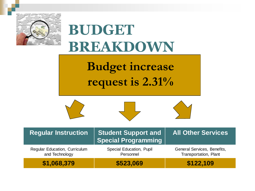



and Technology Personnel Transportation, Plant **\$1,068,379 \$523,069 \$122,109**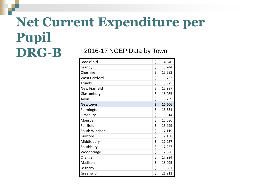#### **Net Current Expenditure per Pupil DRG-B** 2016-17 NCEP Data by Town

| <b>Brookfield</b>    | \$<br>14,540 |
|----------------------|--------------|
| Granby               | \$<br>15,244 |
| Cheshire             | \$<br>15,593 |
| West Hartford        | \$<br>15,762 |
| Trumbull             | \$<br>15,975 |
| <b>New Fiarfield</b> | \$<br>15,987 |
| Glastonbury          | \$<br>16,085 |
| Avon                 | \$<br>16,239 |
| <b>Newtown</b>       | \$<br>16,506 |
| Farmington           | \$<br>16,531 |
| Simsbury             | \$<br>16,614 |
| Monroe               | \$<br>16,686 |
| Fairfield            | \$<br>16,999 |
| South Windsor        | \$<br>17,119 |
| Guilford             | \$<br>17,158 |
| Middlebury           | \$<br>17,257 |
| Southbury            | \$<br>17,257 |
| Woodbridge           | \$<br>17,586 |
| Orange               | \$<br>17,924 |
| Madison              | \$<br>18,095 |
| Bethany              | \$<br>18,387 |
| Greenwich            | \$<br>21,211 |